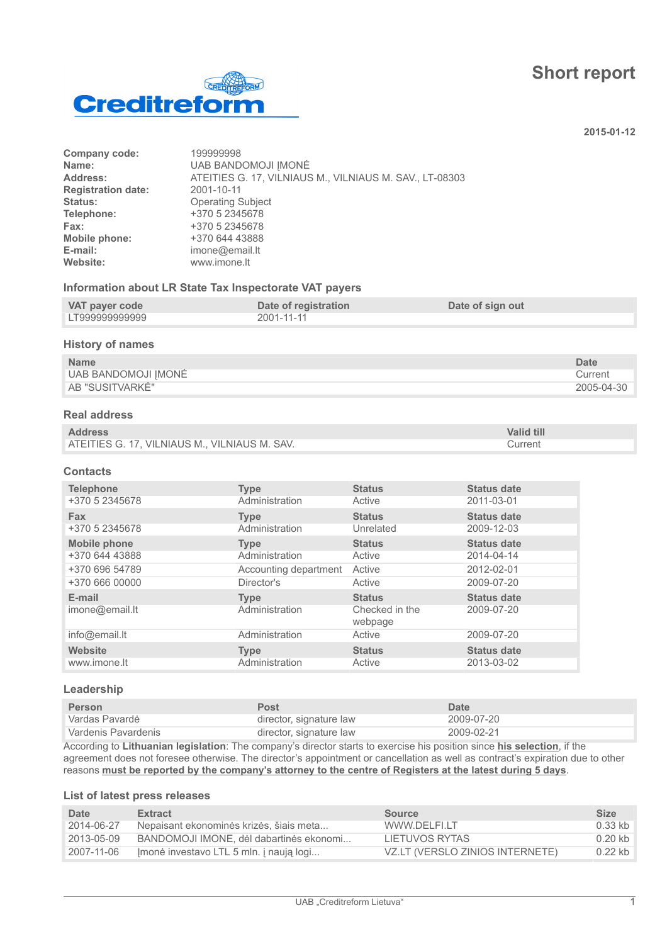# **Short report**



**2015-01-12**

| Company code:             | 199999998                                               |
|---------------------------|---------------------------------------------------------|
| Name:                     | <b>UAB BANDOMOJI IMONĖ</b>                              |
| Address:                  | ATEITIES G. 17, VILNIAUS M., VILNIAUS M. SAV., LT-08303 |
| <b>Registration date:</b> | 2001-10-11                                              |
| Status:                   | <b>Operating Subject</b>                                |
| Telephone:                | +370 5 2345678                                          |
| Fax:                      | +370 5 2345678                                          |
| Mobile phone:             | +370 644 43888                                          |
| E-mail:                   | imone@email.lt                                          |
| Website:                  | www.imone.lt                                            |
|                           |                                                         |

### **Information about LR State Tax Inspectorate VAT payers**

| VAT payer code | Date of registration | Date of sign out |
|----------------|----------------------|------------------|
| LT999999999999 | 2001-11-11           |                  |

#### **History of names**

| <b>Name</b>         | Date       |
|---------------------|------------|
| UAB BANDOMOJI IMONĖ | Current    |
| AB "SUSITVARKÉ"     | 2005-04-30 |

### **Real address**

| <b>Address</b>                                | <b>Valid till</b> |
|-----------------------------------------------|-------------------|
| ATEITIES G. 17, VILNIAUS M., VILNIAUS M. SAV. | Current           |

#### **Contacts**

| <b>Telephone</b>         | <b>Type</b>                   | <b>Status</b>                              | <b>Status date</b>               |
|--------------------------|-------------------------------|--------------------------------------------|----------------------------------|
| +370 5 2345678           | Administration                | Active                                     | 2011-03-01                       |
| <b>Fax</b>               | <b>Type</b>                   | <b>Status</b>                              | <b>Status date</b>               |
| +370 5 2345678           | Administration                | Unrelated                                  | 2009-12-03                       |
| <b>Mobile phone</b>      | <b>Type</b>                   | <b>Status</b>                              | <b>Status date</b>               |
| +370 644 43888           | Administration                | Active                                     | 2014-04-14                       |
| +370 696 54789           | Accounting department         | Active                                     | 2012-02-01                       |
| +370 666 00000           | Director's                    | Active                                     | 2009-07-20                       |
| E-mail<br>imone@email.lt | <b>Type</b><br>Administration | <b>Status</b><br>Checked in the<br>webpage | <b>Status date</b><br>2009-07-20 |
| info@email.lt            | Administration                | Active                                     | 2009-07-20                       |
| <b>Website</b>           | <b>Type</b>                   | <b>Status</b>                              | <b>Status date</b>               |
| www.imone.lt             | Administration                | Active                                     | 2013-03-02                       |

#### **Leadership**

| <b>Person</b>       | <b>Post</b>             | Date       |
|---------------------|-------------------------|------------|
| Vardas Pavardė      | director, signature law | 2009-07-20 |
| Vardenis Pavardenis | director, signature law | 2009-02-21 |

According to **Lithuanian legislation**: The company's director starts to exercise his position since **his selection**, if the agreement does not foresee otherwise. The director's appointment or cancellation as well as contract's expiration due to other reasons **must be reported by the company's attorney to the centre of Registers at the latest during 5 days**.

#### **List of latest press releases**

| Date         | <b>Extract</b>                          | <b>Source</b>                   | <b>Size</b> |
|--------------|-----------------------------------------|---------------------------------|-------------|
| 2014-06-27   | Nepaisant ekonominės krizės, šiais meta | WWW.DELFI.LT                    | 0.33 kb     |
| 2013-05-09   | BANDOMOJI IMONE, dėl dabartinės ekonomi | LIETUVOS RYTAS                  | $0.20$ kb   |
| ੈ 2007-11-06 | Imonė investavo LTL 5 mln. į naują logi | VZ.LT (VERSLO ZINIOS INTERNETE) | $0.22$ kb   |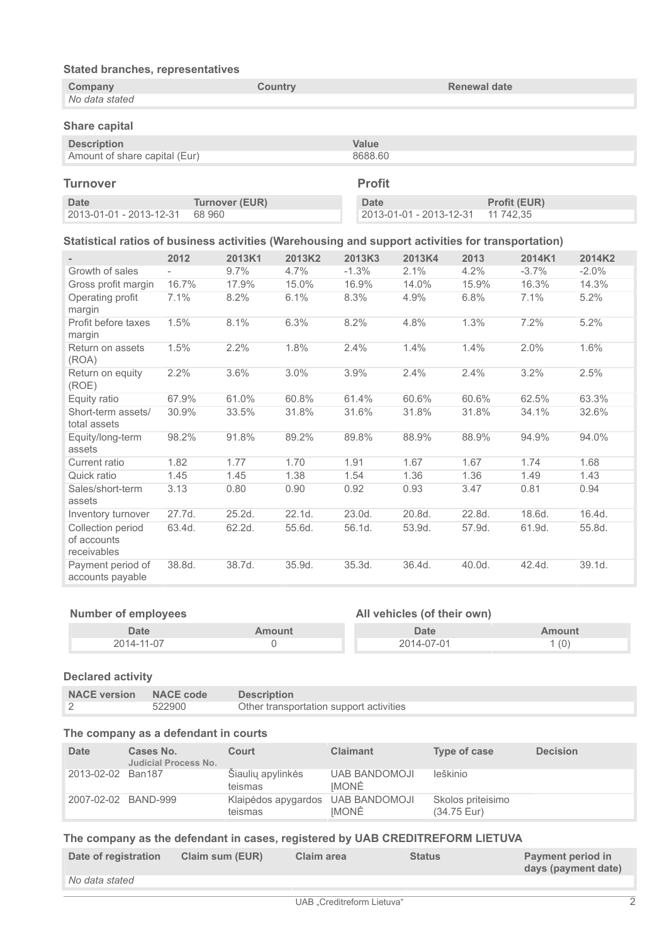| <b>Stated branches, representatives</b>                                                           |        |                       |         |                         |                         |                     |                           |         |
|---------------------------------------------------------------------------------------------------|--------|-----------------------|---------|-------------------------|-------------------------|---------------------|---------------------------|---------|
| Company<br>No data stated                                                                         |        |                       | Country |                         |                         | <b>Renewal date</b> |                           |         |
| <b>Share capital</b>                                                                              |        |                       |         |                         |                         |                     |                           |         |
| <b>Description</b><br>Amount of share capital (Eur)                                               |        |                       |         | <b>Value</b><br>8688.60 |                         |                     |                           |         |
| <b>Turnover</b>                                                                                   |        |                       |         | <b>Profit</b>           |                         |                     |                           |         |
| <b>Date</b><br>2013-01-01 - 2013-12-31                                                            | 68 960 | <b>Turnover (EUR)</b> |         | <b>Date</b>             | 2013-01-01 - 2013-12-31 |                     | Profit (EUR)<br>11 742.35 |         |
| Statistical ratios of business activities (Warehousing and support activities for transportation) |        |                       |         |                         |                         |                     |                           |         |
|                                                                                                   | 2012   | 2013K1                | 2013K2  | 2013K3                  | 2013K4                  | 2013                | 2014K1                    | 2014K2  |
| Growth of sales                                                                                   |        | 9.7%                  | 4.7%    | $-1.3%$                 | 2.1%                    | 4.2%                | $-3.7%$                   | $-2.0%$ |
| Gross profit margin                                                                               | 16.7%  | 17.9%                 | 15.0%   | 16.9%                   | 14.0%                   | 15.9%               | 16.3%                     | 14.3%   |
| Operating profit<br>margin                                                                        | 7.1%   | 8.2%                  | 6.1%    | 8.3%                    | 4.9%                    | 6.8%                | 7.1%                      | 5.2%    |
| Profit before taxes<br>margin                                                                     | 1.5%   | 8.1%                  | 6.3%    | 8.2%                    | 4.8%                    | 1.3%                | 7.2%                      | 5.2%    |
| Return on assets<br>(ROA)                                                                         | 1.5%   | 2.2%                  | 1.8%    | 2.4%                    | 1.4%                    | 1.4%                | 2.0%                      | 1.6%    |
| Return on equity<br>(ROE)                                                                         | 2.2%   | 3.6%                  | 3.0%    | 3.9%                    | 2.4%                    | 2.4%                | 3.2%                      | 2.5%    |
| Equity ratio                                                                                      | 67.9%  | 61.0%                 | 60.8%   | 61.4%                   | 60.6%                   | 60.6%               | 62.5%                     | 63.3%   |
| Short-term assets/<br>total assets                                                                | 30.9%  | 33.5%                 | 31.8%   | 31.6%                   | 31.8%                   | 31.8%               | 34.1%                     | 32.6%   |
| Equity/long-term<br>assets                                                                        | 98.2%  | 91.8%                 | 89.2%   | 89.8%                   | 88.9%                   | 88.9%               | 94.9%                     | 94.0%   |
| Current ratio                                                                                     | 1.82   | 1.77                  | 1.70    | 1.91                    | 1.67                    | 1.67                | 1.74                      | 1.68    |
| Quick ratio                                                                                       | 1.45   | 1.45                  | 1.38    | 1.54                    | 1.36                    | 1.36                | 1.49                      | 1.43    |
| Sales/short-term<br>assets                                                                        | 3.13   | 0.80                  | 0.90    | 0.92                    | 0.93                    | 3.47                | 0.81                      | 0.94    |
| Inventory turnover                                                                                | 27.7d. | 25.2d.                | 22.1d.  | 23.0d.                  | 20.8d.                  | 22.8d.              | 18.6d.                    | 16.4d.  |
| Collection period<br>of accounts<br>receivables                                                   | 63.4d. | 62.2d.                | 55.6d.  | 56.1d.                  | 53.9d.                  | 57.9d.              | 61.9d.                    | 55.8d.  |
| Payment period of<br>accounts payable                                                             | 38.8d. | 38.7d.                | 35.9d.  | 35.3d.                  | 36.4d.                  | 40.0d.              | 42.4d.                    | 39.1d.  |

| <b>Number of employees</b> |               | All vehicles (of their own) |        |
|----------------------------|---------------|-----------------------------|--------|
| Date                       | <b>Amount</b> | Date                        | Amount |
| 2014-11-07                 |               | 2014-07-01                  | 1(0)   |

# **Declared activity**

| NACE version NACE code |        | <b>Description</b>                      |
|------------------------|--------|-----------------------------------------|
|                        | 522900 | Other transportation support activities |

### **The company as a defendant in courts**

| <b>Date</b>         | Cases No.<br><b>Judicial Process No.</b> | Court                          | <b>Claimant</b>               | Type of case                     | <b>Decision</b> |
|---------------------|------------------------------------------|--------------------------------|-------------------------------|----------------------------------|-----------------|
| 2013-02-02 Ban187   |                                          | Šiaulių apylinkės<br>teismas   | <b>UAB BANDOMOJI</b><br>IMONĖ | leškinio                         |                 |
| 2007-02-02 BAND-999 |                                          | Klaipėdos apygardos<br>teismas | <b>UAB BANDOMOJI</b><br>IMONĖ | Skolos priteisimo<br>(34.75 Eur) |                 |

## **The company as the defendant in cases, registered by UAB CREDITREFORM LIETUVA**

| Date of registration<br>Claim sum (EUR) |                            | Payment period in<br>days (payment date) |
|-----------------------------------------|----------------------------|------------------------------------------|
| No data stated                          |                            |                                          |
|                                         | UAB "Creditreform Lietuva" |                                          |